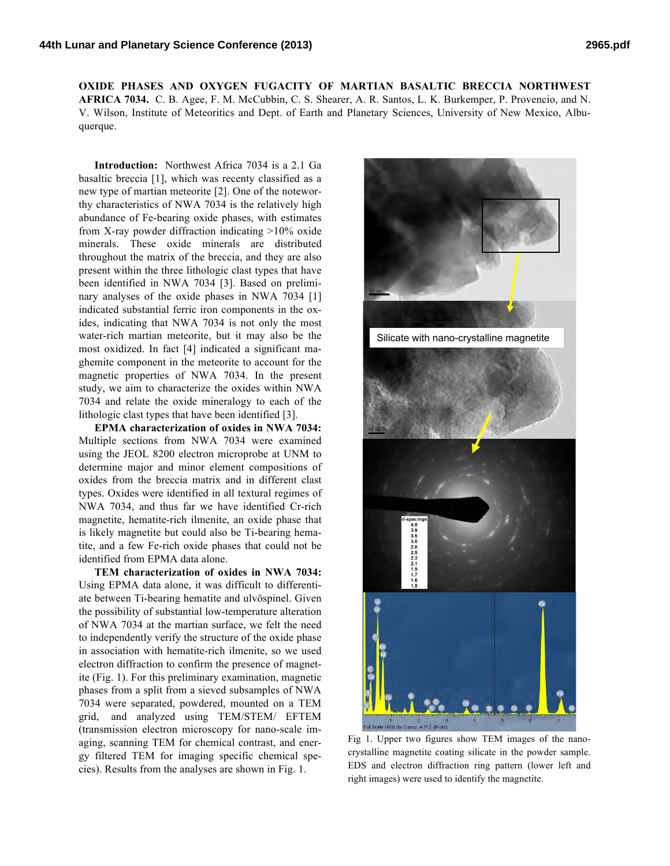**OXIDE PHASES AND OXYGEN FUGACITY OF MARTIAN BASALTIC BRECCIA NORTHWEST AFRICA 7034.** C. B. Agee, F. M. McCubbin, C. S. Shearer, A. R. Santos, L. K. Burkemper, P. Provencio, and N. V. Wilson, Institute of Meteoritics and Dept. of Earth and Planetary Sciences, University of New Mexico, Albuquerque.

**Introduction:** Northwest Africa 7034 is a 2.1 Ga basaltic breccia [1], which was recenty classified as a new type of martian meteorite [2]. One of the noteworthy characteristics of NWA 7034 is the relatively high abundance of Fe-bearing oxide phases, with estimates from X-ray powder diffraction indicating >10% oxide minerals. These oxide minerals are distributed throughout the matrix of the breccia, and they are also present within the three lithologic clast types that have been identified in NWA 7034 [3]. Based on preliminary analyses of the oxide phases in NWA 7034 [1] indicated substantial ferric iron components in the oxides, indicating that NWA 7034 is not only the most water-rich martian meteorite, but it may also be the most oxidized. In fact [4] indicated a significant maghemite component in the meteorite to account for the magnetic properties of NWA 7034. In the present study, we aim to characterize the oxides within NWA 7034 and relate the oxide mineralogy to each of the lithologic clast types that have been identified [3].

**EPMA characterization of oxides in NWA 7034:** Multiple sections from NWA 7034 were examined using the JEOL 8200 electron microprobe at UNM to determine major and minor element compositions of oxides from the breccia matrix and in different clast types. Oxides were identified in all textural regimes of NWA 7034, and thus far we have identified Cr-rich magnetite, hematite-rich ilmenite, an oxide phase that is likely magnetite but could also be Ti-bearing hematite, and a few Fe-rich oxide phases that could not be identified from EPMA data alone.

**TEM characterization of oxides in NWA 7034:** Using EPMA data alone, it was difficult to differentiate between Ti-bearing hematite and ulvöspinel. Given the possibility of substantial low-temperature alteration of NWA 7034 at the martian surface, we felt the need to independently verify the structure of the oxide phase in association with hematite-rich ilmenite, so we used electron diffraction to confirm the presence of magnetite (Fig. 1). For this preliminary examination, magnetic phases from a split from a sieved subsamples of NWA 7034 were separated, powdered, mounted on a TEM grid, and analyzed using TEM/STEM/ EFTEM (transmission electron microscopy for nano-scale imaging, scanning TEM for chemical contrast, and energy filtered TEM for imaging specific chemical species). Results from the analyses are shown in Fig. 1.



Fig 1. Upper two figures show TEM images of the nanocrystalline magnetite coating silicate in the powder sample. EDS and electron diffraction ring pattern (lower left and right images) were used to identify the magnetite.